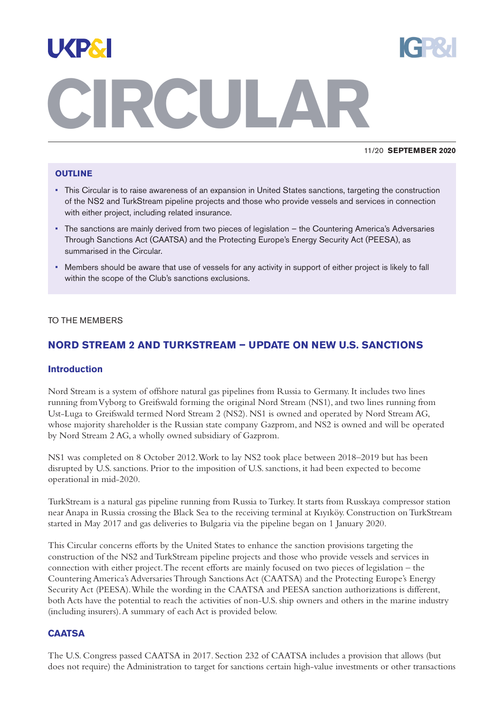

#### 11/20 **SEPTEMBER 2020**

#### **OUTLINE**

- This Circular is to raise awareness of an expansion in United States sanctions, targeting the construction of the NS2 and TurkStream pipeline projects and those who provide vessels and services in connection with either project, including related insurance.
- The sanctions are mainly derived from two pieces of legislation the Countering America's Adversaries Through Sanctions Act (CAATSA) and the Protecting Europe's Energy Security Act (PEESA), as summarised in the Circular.
- Members should be aware that use of vessels for any activity in support of either project is likely to fall within the scope of the Club's sanctions exclusions.

#### TO THE MEMBERS

# **NORD STREAM 2 AND TURKSTREAM – UPDATE ON NEW U.S. SANCTIONS**

#### **Introduction**

Nord Stream is a system of offshore natural gas pipelines from Russia to Germany. It includes two lines running from Vyborg to Greifswald forming the original Nord Stream (NS1), and two lines running from Ust-Luga to Greifswald termed Nord Stream 2 (NS2). NS1 is owned and operated by Nord Stream AG, whose majority shareholder is the Russian state company Gazprom, and NS2 is owned and will be operated by Nord Stream 2 AG,a wholly owned subsidiary of Gazprom.

NS1 was completed on 8 October 2012.Work to lay NS2 took place between 2018–2019 but has been disrupted by U.S. sanctions. Prior to the imposition of U.S. sanctions, it had been expected to become operational in mid-2020.

TurkStream is a natural gas pipeline running from Russia to Turkey. It starts from Russkaya compressor station near Anapa in Russia crossing the Black Sea to the receiving terminal at Kıyıköy. Construction onTurkStream started in May 2017 and gas deliveries to Bulgaria via the pipeline began on 1 January 2020.

This Circular concerns efforts by the United States to enhance the sanction provisions targeting the construction of the NS2 andTurkStream pipeline projects and those who provide vessels and services in connection with either project.The recent efforts are mainly focused on two pieces of legislation – the Countering America's AdversariesThrough Sanctions Act (CAATSA) and the Protecting Europe's Energy Security Act (PEESA).While the wording in the CAATSA and PEESA sanction authorizations is different, both Acts have the potential to reach the activities of non-U.S. ship owners and others in the marine industry (including insurers).A summary of each Act is provided below.

#### **CAATSA**

The U.S. Congress passed CAATSA in 2017. Section 232 of CAATSA includes a provision that allows (but does not require) the Administration to target for sanctions certain high-value investments or other transactions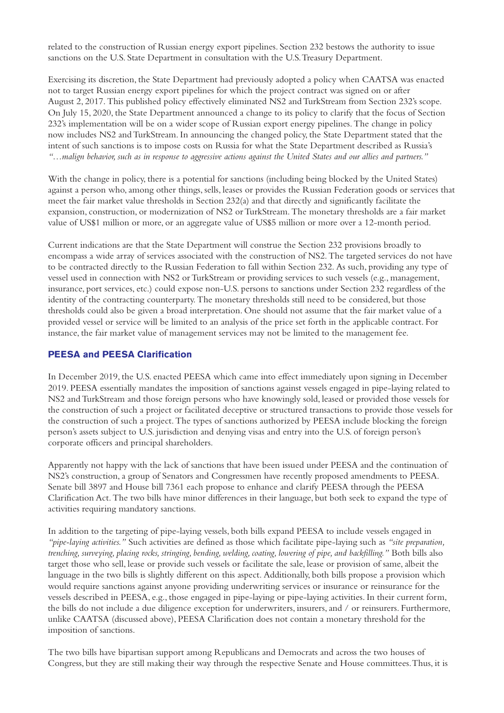related to the construction of Russian energy export pipelines. Section 232 bestows the authority to issue sanctions on the U.S. State Department in consultation with the U.S.Treasury Department.

Exercising its discretion, the State Department had previously adopted a policy when CAATSA was enacted not to target Russian energy export pipelines for which the project contract was signed on or after August 2, 2017.This published policy effectively eliminated NS2 andTurkStream from Section 232's scope. On July 15, 2020, the State Department announced a change to its policy to clarify that the focus of Section 232's implementation will be on a wider scope of Russian export energy pipelines.The change in policy now includes NS2 andTurkStream. In announcing the changed policy, the State Department stated that the intent of such sanctions is to impose costs on Russia for what the State Department described as Russia's "...malign behavior, such as in response to aggressive actions against the United States and our allies and partners."

With the change in policy, there is a potential for sanctions (including being blocked by the United States) against a person who,among other things, sells, leases or provides the Russian Federation goods or services that meet the fair market value thresholds in Section 232(a) and that directly and significantly facilitate the expansion, construction, or modernization of NS2 orTurkStream.The monetary thresholds are a fair market value of US\$1 million or more, or an aggregate value of US\$5 million or more over a 12-month period.

Current indications are that the State Department will construe the Section 232 provisions broadly to encompass a wide array of services associated with the construction of NS2.The targeted services do not have to be contracted directly to the Russian Federation to fall within Section 232. As such, providing any type of vessel used in connection with NS2 or TurkStream or providing services to such vessels (e.g., management, insurance, port services, etc.) could expose non-U.S. persons to sanctions under Section 232 regardless of the identity of the contracting counterparty.The monetary thresholds still need to be considered, but those thresholds could also be given a broad interpretation. One should not assume that the fair market value of a provided vessel or service will be limited to an analysis of the price set forth in the applicable contract. For instance, the fair market value of management services may not be limited to the management fee.

# **PEESA and PEESA Clarification**

In December 2019, the U.S. enacted PEESA which came into effect immediately upon signing in December 2019. PEESA essentially mandates the imposition of sanctions against vessels engaged in pipe-laying related to NS2 andTurkStream and those foreign persons who have knowingly sold, leased or provided those vessels for the construction of such a project or facilitated deceptive or structured transactions to provide those vessels for the construction of such a project.The types of sanctions authorized by PEESA include blocking the foreign person's assets subject to U.S. jurisdiction and denying visas and entry into the U.S. of foreign person's corporate officers and principal shareholders.

Apparently not happy with the lack of sanctions that have been issued under PEESA and the continuation of NS2's construction,a group of Senators and Congressmen have recently proposed amendments to PEESA. Senate bill 3897 and House bill 7361 each propose to enhance and clarify PEESA through the PEESA Clarification Act.The two bills have minor differences in their language, but both seek to expand the type of activities requiring mandatory sanctions.

In addition to the targeting of pipe-laying vessels, both bills expand PEESA to include vessels engaged in *"pipe-laying activities."* Such activities are defined as those which facilitate pipe-laying such as *"site preparation, trenching, surveying, placing rocks, stringing, bending, welding, coating, lowering of pipe, and backfilling."* Both bills also target those who sell, lease or provide such vessels or facilitate the sale, lease or provision of same, albeit the language in the two bills is slightly different on this aspect. Additionally, both bills propose a provision which would require sanctions against anyone providing underwriting services or insurance or reinsurance for the vessels described in PEESA, e.g., those engaged in pipe-laying or pipe-laying activities. In their current form, the bills do not include a due diligence exception for underwriters, insurers, and / or reinsurers. Furthermore, unlike CAATSA (discussed above), PEESA Clarification does not contain a monetary threshold for the imposition of sanctions.

The two bills have bipartisan support among Republicans and Democrats and across the two houses of Congress, but they are still making their way through the respective Senate and House committees.Thus, it is